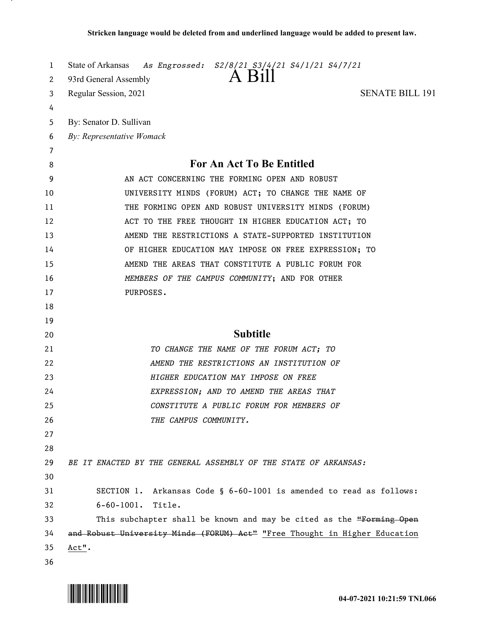| 1      | State of Arkansas<br>As Engrossed: S2/8/21 S3/4/21 S4/1/21 S4/7/21         |
|--------|----------------------------------------------------------------------------|
| 2      | 93rd General Assembly                                                      |
| 3      | <b>SENATE BILL 191</b><br>Regular Session, 2021                            |
| 4      |                                                                            |
| 5      | By: Senator D. Sullivan                                                    |
| 6      | By: Representative Womack                                                  |
| 7<br>8 | For An Act To Be Entitled                                                  |
| 9      | AN ACT CONCERNING THE FORMING OPEN AND ROBUST                              |
| 10     | UNIVERSITY MINDS (FORUM) ACT; TO CHANGE THE NAME OF                        |
| 11     | THE FORMING OPEN AND ROBUST UNIVERSITY MINDS (FORUM)                       |
| 12     | ACT TO THE FREE THOUGHT IN HIGHER EDUCATION ACT; TO                        |
| 13     | AMEND THE RESTRICTIONS A STATE-SUPPORTED INSTITUTION                       |
| 14     | OF HIGHER EDUCATION MAY IMPOSE ON FREE EXPRESSION; TO                      |
| 15     | AMEND THE AREAS THAT CONSTITUTE A PUBLIC FORUM FOR                         |
| 16     | MEMBERS OF THE CAMPUS COMMUNITY; AND FOR OTHER                             |
| 17     | PURPOSES.                                                                  |
| 18     |                                                                            |
| 19     |                                                                            |
| 20     | <b>Subtitle</b>                                                            |
| 21     | TO CHANGE THE NAME OF THE FORUM ACT; TO                                    |
| 22     | AMEND THE RESTRICTIONS AN INSTITUTION OF                                   |
| 23     | HIGHER EDUCATION MAY IMPOSE ON FREE                                        |
| 24     | EXPRESSION; AND TO AMEND THE AREAS THAT                                    |
| 25     | CONSTITUTE A PUBLIC FORUM FOR MEMBERS OF                                   |
| 26     | THE CAMPUS COMMUNITY.                                                      |
| 27     |                                                                            |
| 28     |                                                                            |
| 29     | BE IT ENACTED BY THE GENERAL ASSEMBLY OF THE STATE OF ARKANSAS:            |
| 30     |                                                                            |
| 31     | SECTION 1. Arkansas Code § 6-60-1001 is amended to read as follows:        |
| 32     | $6 - 60 - 1001$ .<br>Title.                                                |
| 33     | This subchapter shall be known and may be cited as the "Forming Open       |
| 34     | and Robust University Minds (FORUM) Act" "Free Thought in Higher Education |
| 35     | Act".                                                                      |
| 36     |                                                                            |

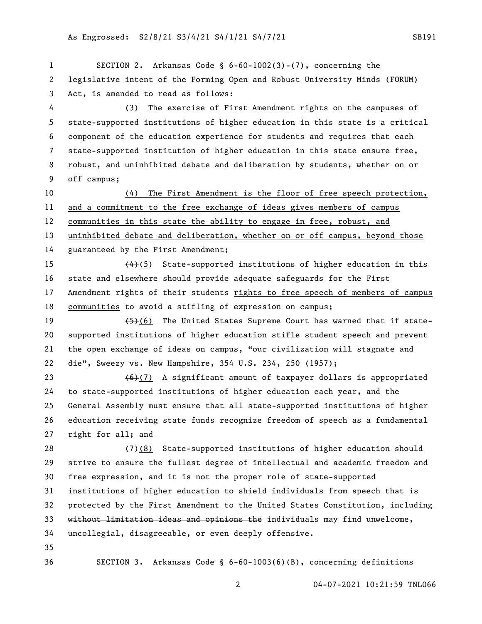SECTION 2. Arkansas Code § 6-60-1002(3)-(7), concerning the legislative intent of the Forming Open and Robust University Minds (FORUM) Act, is amended to read as follows: (3) The exercise of First Amendment rights on the campuses of state-supported institutions of higher education in this state is a critical component of the education experience for students and requires that each state-supported institution of higher education in this state ensure free, robust, and uninhibited debate and deliberation by students, whether on or off campus; (4) The First Amendment is the floor of free speech protection, and a commitment to the free exchange of ideas gives members of campus communities in this state the ability to engage in free, robust, and uninhibited debate and deliberation, whether on or off campus, beyond those guaranteed by the First Amendment;  $\left(4\right)$  (5) State-supported institutions of higher education in this 16 state and elsewhere should provide adequate safeguards for the First 17 Amendment rights of their students rights to free speech of members of campus communities to avoid a stifling of expression on campus;  $(5)(6)$  The United States Supreme Court has warned that if state- supported institutions of higher education stifle student speech and prevent the open exchange of ideas on campus, "our civilization will stagnate and die", Sweezy vs. New Hampshire, 354 U.S. 234, 250 (1957);  $(6)$  (7) A significant amount of taxpayer dollars is appropriated to state-supported institutions of higher education each year, and the General Assembly must ensure that all state-supported institutions of higher education receiving state funds recognize freedom of speech as a fundamental right for all; and  $(7)$ (8) State-supported institutions of higher education should strive to ensure the fullest degree of intellectual and academic freedom and free expression, and it is not the proper role of state-supported 31 institutions of higher education to shield individuals from speech that  $\frac{1}{16}$  protected by the First Amendment to the United States Constitution, including without limitation ideas and opinions the individuals may find unwelcome, uncollegial, disagreeable, or even deeply offensive. SECTION 3. Arkansas Code § 6-60-1003(6)(B), concerning definitions

04-07-2021 10:21:59 TNL066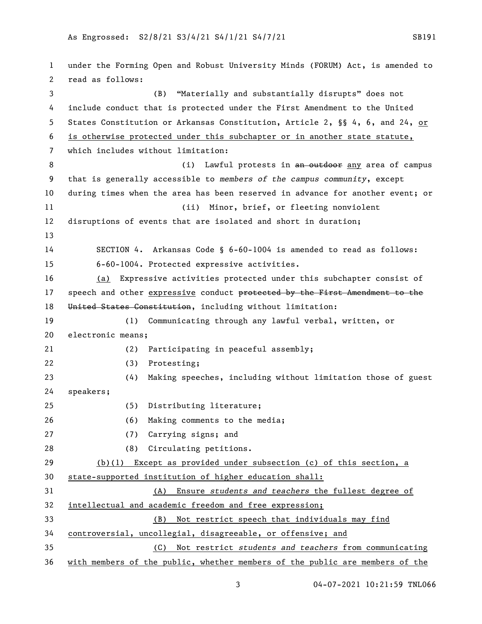under the Forming Open and Robust University Minds (FORUM) Act, is amended to read as follows: (B) "Materially and substantially disrupts" does not include conduct that is protected under the First Amendment to the United States Constitution or Arkansas Constitution, Article 2, §§ 4, 6, and 24, or is otherwise protected under this subchapter or in another state statute, which includes without limitation: 8 (i) Lawful protests in an outdoor any area of campus that is generally accessible to *members of the campus community*, except during times when the area has been reserved in advance for another event; or (ii) Minor, brief, or fleeting nonviolent disruptions of events that are isolated and short in duration; SECTION 4. Arkansas Code § 6-60-1004 is amended to read as follows: 6-60-1004. Protected expressive activities. (a) Expressive activities protected under this subchapter consist of 17 speech and other expressive conduct protected by the First Amendment to the United States Constitution, including without limitation: (1) Communicating through any lawful verbal, written, or electronic means; (2) Participating in peaceful assembly; (3) Protesting; (4) Making speeches, including without limitation those of guest speakers; (5) Distributing literature; (6) Making comments to the media; (7) Carrying signs; and (8) Circulating petitions. (b)(1) Except as provided under subsection (c) of this section, a state-supported institution of higher education shall: (A) Ensure *students and teachers* the fullest degree of intellectual and academic freedom and free expression; (B) Not restrict speech that individuals may find controversial, uncollegial, disagreeable, or offensive; and (C) Not restrict *students and teachers* from communicating with members of the public, whether members of the public are members of the

04-07-2021 10:21:59 TNL066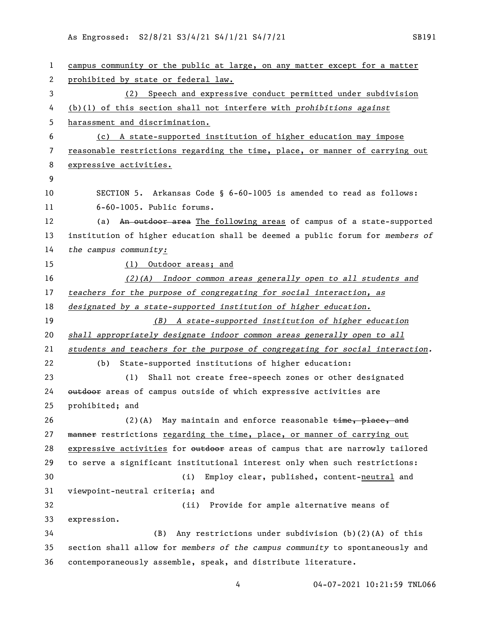As Engrossed: S2/8/21 S3/4/21 S4/1/21 S4/7/21 S4/7/21

| 1  | campus community or the public at large, on any matter except for a matter    |
|----|-------------------------------------------------------------------------------|
| 2  | prohibited by state or federal law.                                           |
| 3  | Speech and expressive conduct permitted under subdivision<br>(2)              |
| 4  | $(b)(1)$ of this section shall not interfere with prohibitions against        |
| 5  | harassment and discrimination.                                                |
| 6  | (c) A state-supported institution of higher education may impose              |
| 7  | reasonable restrictions regarding the time, place, or manner of carrying out  |
| 8  | expressive activities.                                                        |
| 9  |                                                                               |
| 10 | SECTION 5. Arkansas Code § 6-60-1005 is amended to read as follows:           |
| 11 | 6-60-1005. Public forums.                                                     |
| 12 | An outdoor area The following areas of campus of a state-supported<br>(a)     |
| 13 | institution of higher education shall be deemed a public forum for members of |
| 14 | the campus community:                                                         |
| 15 | (1) Outdoor areas; and                                                        |
| 16 | $(2)(A)$ Indoor common areas generally open to all students and               |
| 17 | teachers for the purpose of congregating for social interaction, as           |
| 18 | designated by a state-supported institution of higher education.              |
| 19 | (B) A state-supported institution of higher education                         |
| 20 | shall appropriately designate indoor common areas generally open to all       |
| 21 | students and teachers for the purpose of congregating for social interaction. |
| 22 | State-supported institutions of higher education:<br>(b)                      |
| 23 | (1)<br>Shall not create free-speech zones or other designated                 |
| 24 | outdoor areas of campus outside of which expressive activities are            |
| 25 | prohibited; and                                                               |
| 26 | $(2)$ (A) May maintain and enforce reasonable $t$ ime, place, and             |
| 27 | manner restrictions regarding the time, place, or manner of carrying out      |
| 28 | expressive activities for outdoor areas of campus that are narrowly tailored  |
| 29 | to serve a significant institutional interest only when such restrictions:    |
| 30 | (i)<br>Employ clear, published, content-neutral and                           |
| 31 | viewpoint-neutral criteria; and                                               |
| 32 | Provide for ample alternative means of<br>(ii)                                |
| 33 | expression.                                                                   |
| 34 | Any restrictions under subdivision (b)(2)(A) of this<br>(B)                   |
| 35 | section shall allow for members of the campus community to spontaneously and  |
| 36 | contemporaneously assemble, speak, and distribute literature.                 |

04-07-2021 10:21:59 TNL066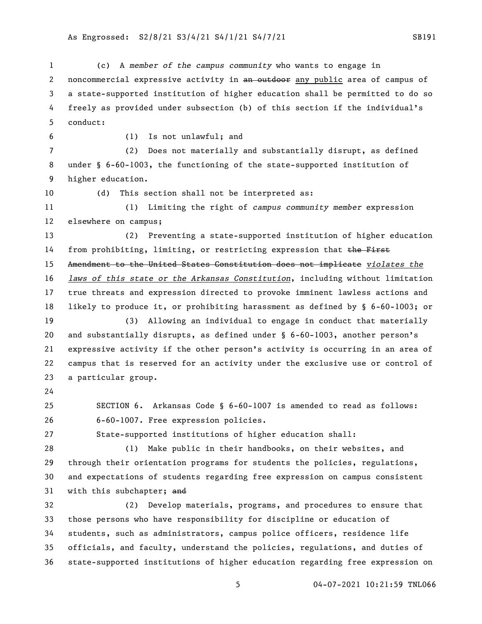(c) A *member of the campus community* who wants to engage in 2 noncommercial expressive activity in an outdoor any public area of campus of a state-supported institution of higher education shall be permitted to do so freely as provided under subsection (b) of this section if the individual's conduct: (1) Is not unlawful; and (2) Does not materially and substantially disrupt, as defined under § 6-60-1003, the functioning of the state-supported institution of higher education. (d) This section shall not be interpreted as: (1) Limiting the right of *campus community member* expression elsewhere on campus; (2) Preventing a state-supported institution of higher education 14 from prohibiting, limiting, or restricting expression that the First Amendment to the United States Constitution does not implicate *violates the laws of this state or the Arkansas Constitution*, including without limitation true threats and expression directed to provoke imminent lawless actions and likely to produce it, or prohibiting harassment as defined by § 6-60-1003; or (3) Allowing an individual to engage in conduct that materially and substantially disrupts, as defined under § 6-60-1003, another person's expressive activity if the other person's activity is occurring in an area of campus that is reserved for an activity under the exclusive use or control of a particular group. SECTION 6. Arkansas Code § 6-60-1007 is amended to read as follows: 6-60-1007. Free expression policies. State-supported institutions of higher education shall: (1) Make public in their handbooks, on their websites, and through their orientation programs for students the policies, regulations, and expectations of students regarding free expression on campus consistent 31 with this subchapter; and (2) Develop materials, programs, and procedures to ensure that those persons who have responsibility for discipline or education of students, such as administrators, campus police officers, residence life officials, and faculty, understand the policies, regulations, and duties of state-supported institutions of higher education regarding free expression on